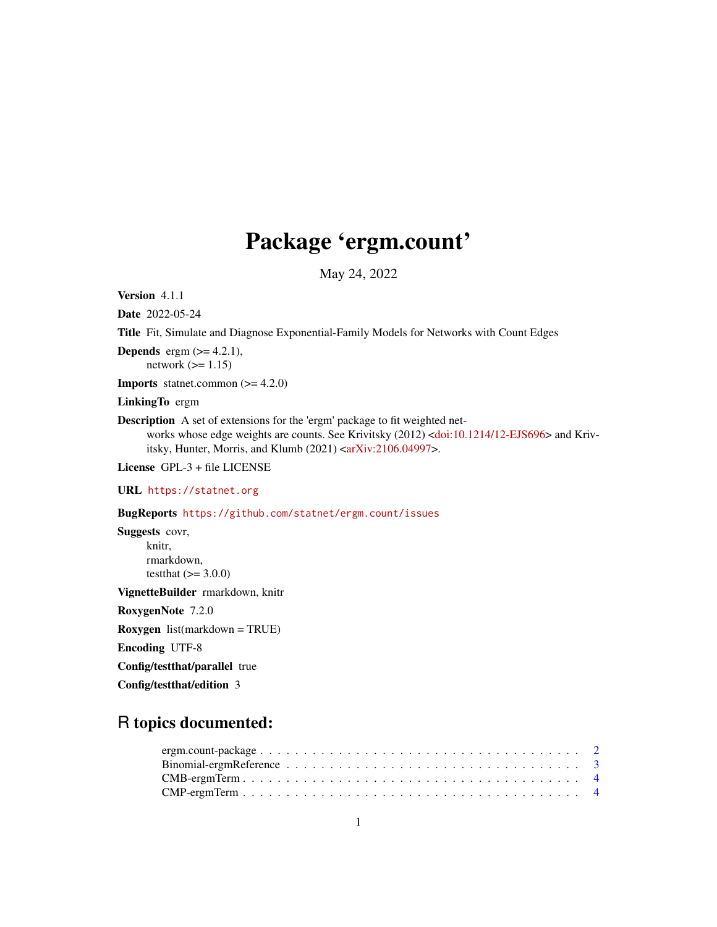# Package 'ergm.count'

May 24, 2022

<span id="page-0-0"></span>Version 4.1.1

Date 2022-05-24

Title Fit, Simulate and Diagnose Exponential-Family Models for Networks with Count Edges

**Depends** ergm  $(>= 4.2.1)$ , network  $(>= 1.15)$ 

**Imports** statnet.common  $(>= 4.2.0)$ 

LinkingTo ergm

Description A set of extensions for the 'ergm' package to fit weighted net-works whose edge weights are counts. See Krivitsky (2012) [<doi:10.1214/12-EJS696>](https://doi.org/10.1214/12-EJS696) and Kriv-itsky, Hunter, Morris, and Klumb (2021) [<arXiv:2106.04997>](https://arxiv.org/abs/2106.04997).

License GPL-3 + file LICENSE

URL <https://statnet.org>

BugReports <https://github.com/statnet/ergm.count/issues>

Suggests covr, knitr, rmarkdown, testthat  $(>= 3.0.0)$ 

VignetteBuilder rmarkdown, knitr

RoxygenNote 7.2.0

Roxygen list(markdown = TRUE)

Encoding UTF-8

Config/testthat/parallel true

Config/testthat/edition 3

## R topics documented: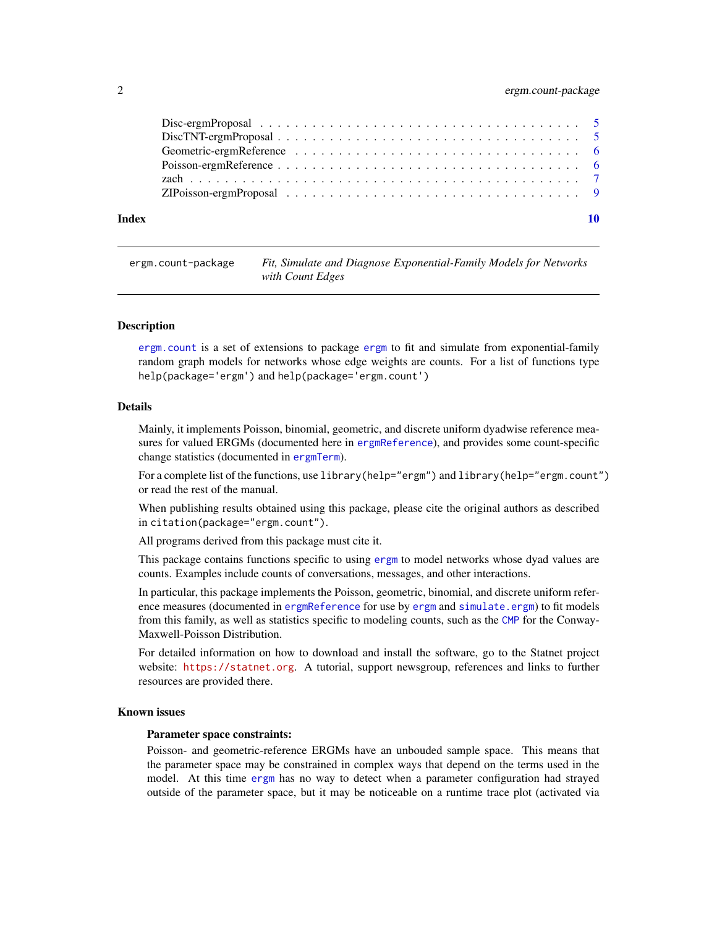#### <span id="page-1-0"></span>2 ergm.count-package

| Index |  |  |  |  |  |
|-------|--|--|--|--|--|
|       |  |  |  |  |  |
|       |  |  |  |  |  |
|       |  |  |  |  |  |
|       |  |  |  |  |  |
|       |  |  |  |  |  |
|       |  |  |  |  |  |
|       |  |  |  |  |  |

<span id="page-1-1"></span>ergm.count-package *Fit, Simulate and Diagnose Exponential-Family Models for Networks with Count Edges*

#### Description

[ergm.count](#page-1-1) is a set of extensions to package [ergm](#page-0-0) to fit and simulate from exponential-family random graph models for networks whose edge weights are counts. For a list of functions type help(package='ergm') and help(package='ergm.count')

#### Details

Mainly, it implements Poisson, binomial, geometric, and discrete uniform dyadwise reference measures for valued ERGMs (documented here in [ergmReference](#page-0-0)), and provides some count-specific change statistics (documented in [ergmTerm](#page-0-0)).

For a complete list of the functions, use library(help="ergm") and library(help="ergm.count") or read the rest of the manual.

When publishing results obtained using this package, please cite the original authors as described in citation(package="ergm.count").

All programs derived from this package must cite it.

This package contains functions specific to using [ergm](#page-0-0) to model networks whose dyad values are counts. Examples include counts of conversations, messages, and other interactions.

In particular, this package implements the Poisson, geometric, binomial, and discrete uniform reference measures (documented in [ergmReference](#page-0-0) for use by [ergm](#page-0-0) and [simulate.ergm](#page-0-0)) to fit models from this family, as well as statistics specific to modeling counts, such as the [CMP](#page-3-1) for the Conway-Maxwell-Poisson Distribution.

For detailed information on how to download and install the software, go to the Statnet project website: <https://statnet.org>. A tutorial, support newsgroup, references and links to further resources are provided there.

#### Known issues

#### Parameter space constraints:

Poisson- and geometric-reference ERGMs have an unbouded sample space. This means that the parameter space may be constrained in complex ways that depend on the terms used in the model. At this time [ergm](#page-0-0) has no way to detect when a parameter configuration had strayed outside of the parameter space, but it may be noticeable on a runtime trace plot (activated via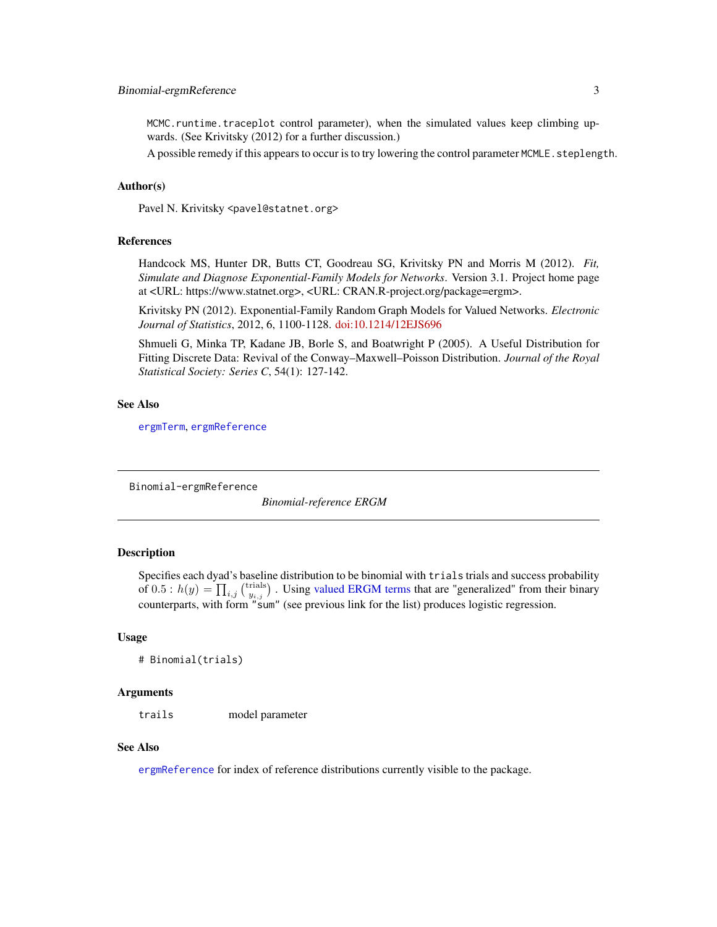#### <span id="page-2-0"></span>Binomial-ergmReference 3

MCMC.runtime.traceplot control parameter), when the simulated values keep climbing upwards. (See Krivitsky (2012) for a further discussion.)

A possible remedy if this appears to occur is to try lowering the control parameter MCMLE. steplength.

### Author(s)

Pavel N. Krivitsky <pavel@statnet.org>

#### References

Handcock MS, Hunter DR, Butts CT, Goodreau SG, Krivitsky PN and Morris M (2012). *Fit, Simulate and Diagnose Exponential-Family Models for Networks*. Version 3.1. Project home page at <URL: https://www.statnet.org>, <URL: CRAN.R-project.org/package=ergm>.

Krivitsky PN (2012). Exponential-Family Random Graph Models for Valued Networks. *Electronic Journal of Statistics*, 2012, 6, 1100-1128. [doi:10.1214/12EJS696](https://doi.org/10.1214/12-EJS696)

Shmueli G, Minka TP, Kadane JB, Borle S, and Boatwright P (2005). A Useful Distribution for Fitting Discrete Data: Revival of the Conway–Maxwell–Poisson Distribution. *Journal of the Royal Statistical Society: Series C*, 54(1): 127-142.

#### See Also

[ergmTerm](#page-0-0), [ergmReference](#page-0-0)

<span id="page-2-1"></span>Binomial-ergmReference

*Binomial-reference ERGM*

#### **Description**

Specifies each dyad's baseline distribution to be binomial with trials trials and success probability of  $0.5$ :  $h(y) = \prod_{i,j} {trials \choose y_{i,j}}$ . Using [valued ERGM terms](#page-0-0) that are "generalized" from their binary counterparts, with form "sum" (see previous link for the list) produces logistic regression.

#### Usage

```
# Binomial(trials)
```
#### Arguments

trails model parameter

#### See Also

[ergmReference](#page-0-0) for index of reference distributions currently visible to the package.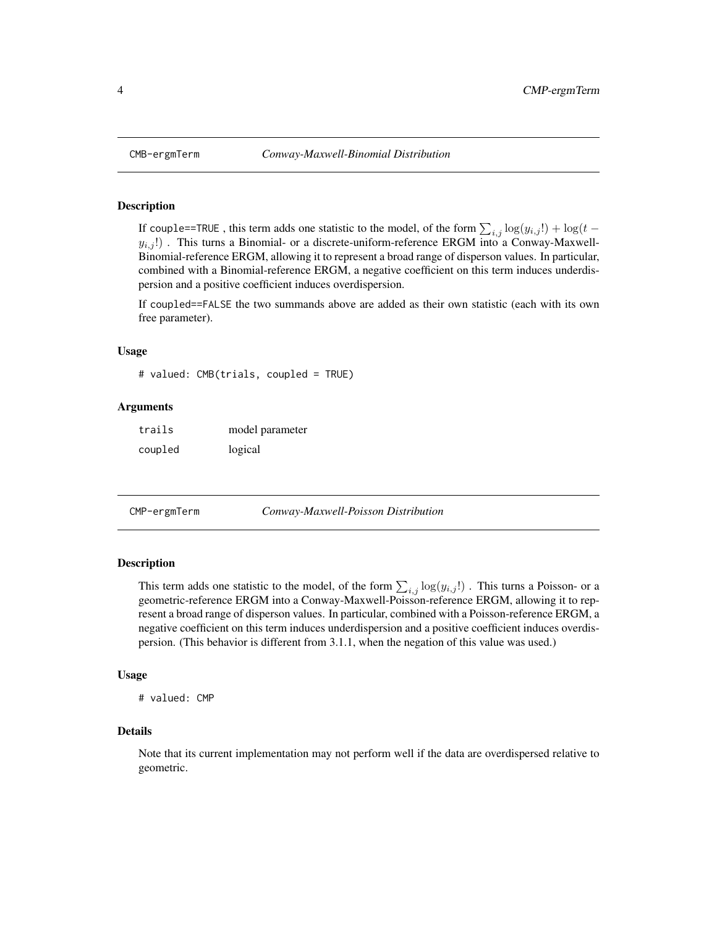<span id="page-3-0"></span>

#### Description

If couple==TRUE, this term adds one statistic to the model, of the form  $\sum_{i,j} \log(y_{i,j}!) + \log(t$  $y_{i,j}$ !). This turns a Binomial- or a discrete-uniform-reference ERGM into a Conway-Maxwell-Binomial-reference ERGM, allowing it to represent a broad range of disperson values. In particular, combined with a Binomial-reference ERGM, a negative coefficient on this term induces underdispersion and a positive coefficient induces overdispersion.

If coupled==FALSE the two summands above are added as their own statistic (each with its own free parameter).

#### Usage

```
# valued: CMB(trials, coupled = TRUE)
```
#### Arguments

| trails  | model parameter |
|---------|-----------------|
| coupled | logical         |

<span id="page-3-1"></span>

#### Description

This term adds one statistic to the model, of the form  $\sum_{i,j} \log(y_{i,j}!)$ . This turns a Poisson- or a geometric-reference ERGM into a Conway-Maxwell-Poisson-reference ERGM, allowing it to represent a broad range of disperson values. In particular, combined with a Poisson-reference ERGM, a negative coefficient on this term induces underdispersion and a positive coefficient induces overdispersion. (This behavior is different from 3.1.1, when the negation of this value was used.)

#### Usage

```
# valued: CMP
```
#### Details

Note that its current implementation may not perform well if the data are overdispersed relative to geometric.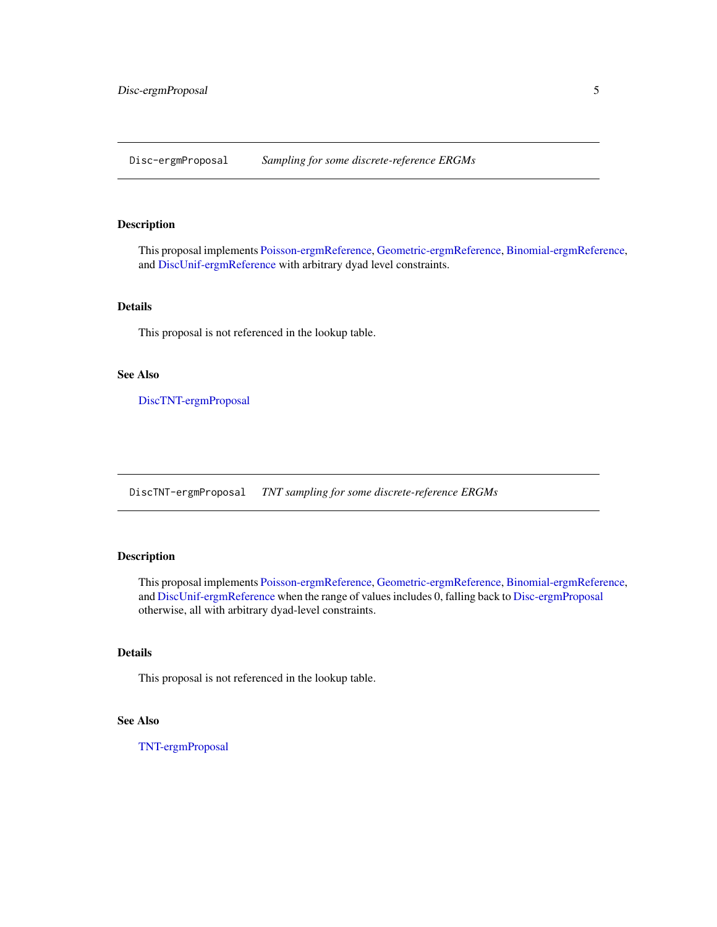<span id="page-4-2"></span><span id="page-4-0"></span>Disc-ergmProposal *Sampling for some discrete-reference ERGMs*

#### Description

This proposal implements [Poisson-ergmReference,](#page-5-1) [Geometric-ergmReference,](#page-5-2) [Binomial-ergmReference,](#page-2-1) and [DiscUnif-ergmReference](#page-0-0) with arbitrary dyad level constraints.

#### Details

This proposal is not referenced in the lookup table.

#### See Also

[DiscTNT-ergmProposal](#page-4-1)

<span id="page-4-1"></span>DiscTNT-ergmProposal *TNT sampling for some discrete-reference ERGMs*

#### Description

This proposal implements [Poisson-ergmReference,](#page-5-1) [Geometric-ergmReference,](#page-5-2) [Binomial-ergmReference,](#page-2-1) and [DiscUnif-ergmReference](#page-0-0) when the range of values includes 0, falling back to [Disc-ergmProposal](#page-4-2) otherwise, all with arbitrary dyad-level constraints.

#### Details

This proposal is not referenced in the lookup table.

#### See Also

[TNT-ergmProposal](#page-0-0)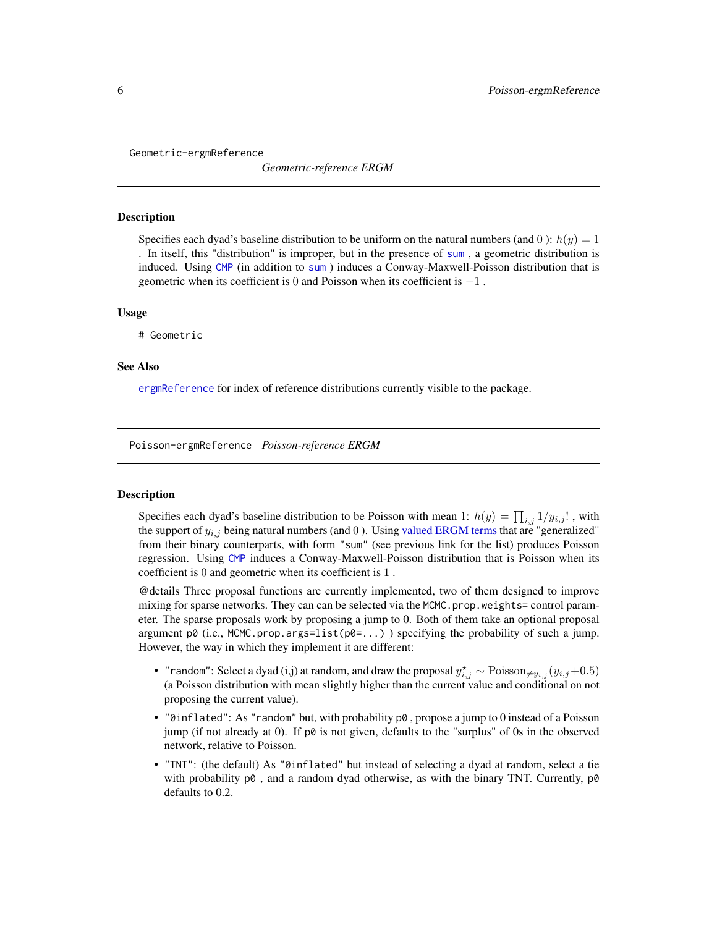<span id="page-5-2"></span><span id="page-5-0"></span>Geometric-ergmReference

*Geometric-reference ERGM*

#### **Description**

Specifies each dyad's baseline distribution to be uniform on the natural numbers (and 0):  $h(y) = 1$ . In itself, this "distribution" is improper, but in the presence of [sum](#page-0-0) , a geometric distribution is induced. Using [CMP](#page-3-1) (in addition to [sum](#page-0-0) ) induces a Conway-Maxwell-Poisson distribution that is geometric when its coefficient is  $0$  and Poisson when its coefficient is  $-1$ .

#### Usage

# Geometric

#### See Also

[ergmReference](#page-0-0) for index of reference distributions currently visible to the package.

<span id="page-5-1"></span>Poisson-ergmReference *Poisson-reference ERGM*

#### Description

Specifies each dyad's baseline distribution to be Poisson with mean 1:  $h(y) = \prod_{i,j} 1/y_{i,j}!$ , with the support of  $y_{i,j}$  being natural numbers (and 0). Using [valued ERGM terms](#page-0-0) that are "generalized" from their binary counterparts, with form "sum" (see previous link for the list) produces Poisson regression. Using [CMP](#page-3-1) induces a Conway-Maxwell-Poisson distribution that is Poisson when its coefficient is 0 and geometric when its coefficient is 1 .

@details Three proposal functions are currently implemented, two of them designed to improve mixing for sparse networks. They can can be selected via the MCMC.prop.weights= control parameter. The sparse proposals work by proposing a jump to 0. Both of them take an optional proposal argument p0 (i.e., MCMC.prop.args=list( $p0 = ...$ ) ) specifying the probability of such a jump. However, the way in which they implement it are different:

- "random": Select a dyad (i,j) at random, and draw the proposal  $y_{i,j}^* \sim \text{Poisson}_{\neq y_{i,j}}(y_{i,j}+0.5)$ (a Poisson distribution with mean slightly higher than the current value and conditional on not proposing the current value).
- "0inflated": As "random" but, with probability  $p0$ , propose a jump to 0 instead of a Poisson jump (if not already at 0). If p0 is not given, defaults to the "surplus" of 0s in the observed network, relative to Poisson.
- "TNT": (the default) As "0inflated" but instead of selecting a dyad at random, select a tie with probability  $p\emptyset$ , and a random dyad otherwise, as with the binary TNT. Currently,  $p\emptyset$ defaults to 0.2.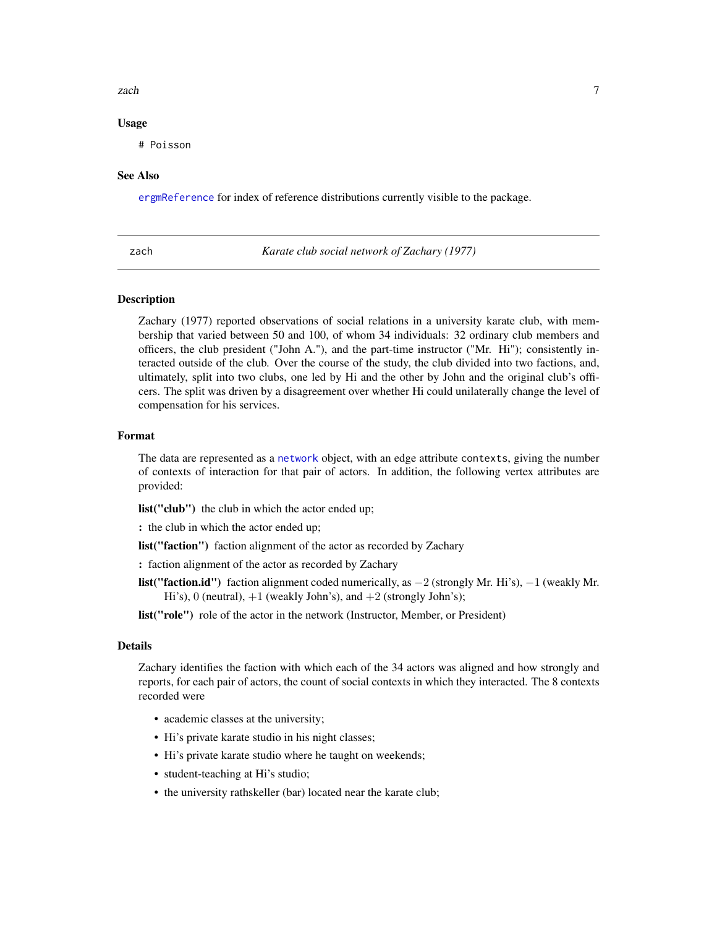#### <span id="page-6-0"></span>zach za zach za zachou za zachou za zachou za zachou za zachou za zachou za zachou za zachou za zachou za zach

#### Usage

# Poisson

#### See Also

[ergmReference](#page-0-0) for index of reference distributions currently visible to the package.

zach *Karate club social network of Zachary (1977)*

#### Description

Zachary (1977) reported observations of social relations in a university karate club, with membership that varied between 50 and 100, of whom 34 individuals: 32 ordinary club members and officers, the club president ("John A."), and the part-time instructor ("Mr. Hi"); consistently interacted outside of the club. Over the course of the study, the club divided into two factions, and, ultimately, split into two clubs, one led by Hi and the other by John and the original club's officers. The split was driven by a disagreement over whether Hi could unilaterally change the level of compensation for his services.

#### Format

The data are represented as a [network](#page-0-0) object, with an edge attribute contexts, giving the number of contexts of interaction for that pair of actors. In addition, the following vertex attributes are provided:

list("club") the club in which the actor ended up;

: the club in which the actor ended up;

list("faction") faction alignment of the actor as recorded by Zachary

: faction alignment of the actor as recorded by Zachary

list("faction.id") faction alignment coded numerically, as  $-2$  (strongly Mr. Hi's),  $-1$  (weakly Mr. Hi's), 0 (neutral),  $+1$  (weakly John's), and  $+2$  (strongly John's);

list("role") role of the actor in the network (Instructor, Member, or President)

#### Details

Zachary identifies the faction with which each of the 34 actors was aligned and how strongly and reports, for each pair of actors, the count of social contexts in which they interacted. The 8 contexts recorded were

- academic classes at the university;
- Hi's private karate studio in his night classes;
- Hi's private karate studio where he taught on weekends;
- student-teaching at Hi's studio;
- the university rathskeller (bar) located near the karate club;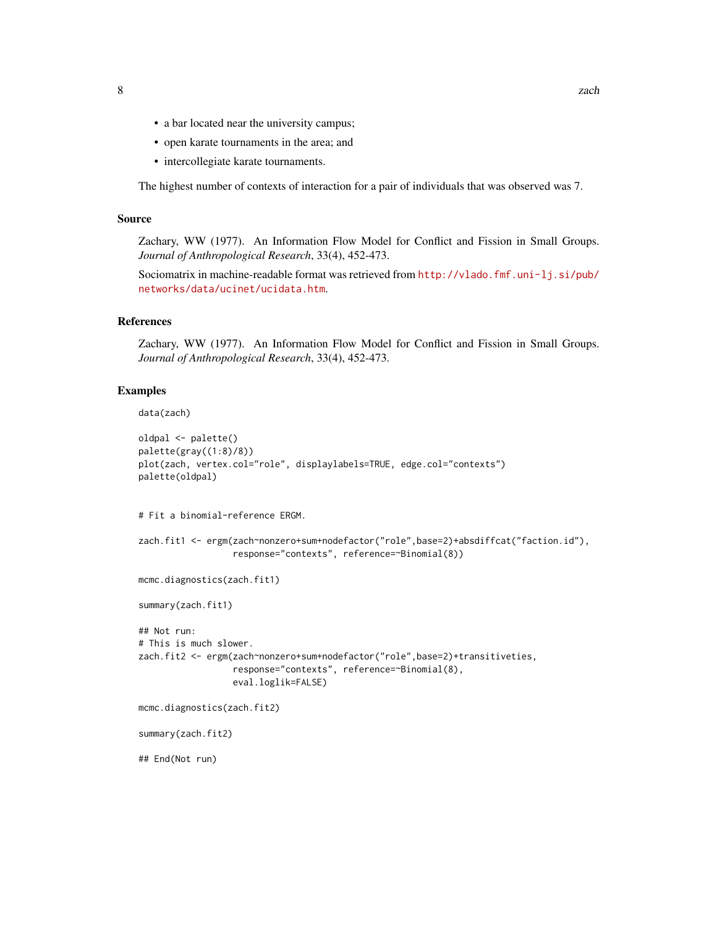- a bar located near the university campus;
- open karate tournaments in the area; and
- intercollegiate karate tournaments.

The highest number of contexts of interaction for a pair of individuals that was observed was 7.

#### Source

Zachary, WW (1977). An Information Flow Model for Conflict and Fission in Small Groups. *Journal of Anthropological Research*, 33(4), 452-473.

Sociomatrix in machine-readable format was retrieved from [http://vlado.fmf.uni-lj.si/pub/](http://vlado.fmf.uni-lj.si/pub/networks/data/ucinet/ucidata.htm) [networks/data/ucinet/ucidata.htm](http://vlado.fmf.uni-lj.si/pub/networks/data/ucinet/ucidata.htm).

#### References

Zachary, WW (1977). An Information Flow Model for Conflict and Fission in Small Groups. *Journal of Anthropological Research*, 33(4), 452-473.

#### Examples

```
data(zach)
```

```
oldpal <- palette()
palette(gray((1:8)/8))
plot(zach, vertex.col="role", displaylabels=TRUE, edge.col="contexts")
palette(oldpal)
# Fit a binomial-reference ERGM.
zach.fit1 <- ergm(zach~nonzero+sum+nodefactor("role",base=2)+absdiffcat("faction.id"),
                  response="contexts", reference=~Binomial(8))
mcmc.diagnostics(zach.fit1)
summary(zach.fit1)
## Not run:
# This is much slower.
zach.fit2 <- ergm(zach~nonzero+sum+nodefactor("role",base=2)+transitiveties,
                  response="contexts", reference=~Binomial(8),
                  eval.loglik=FALSE)
mcmc.diagnostics(zach.fit2)
summary(zach.fit2)
## End(Not run)
```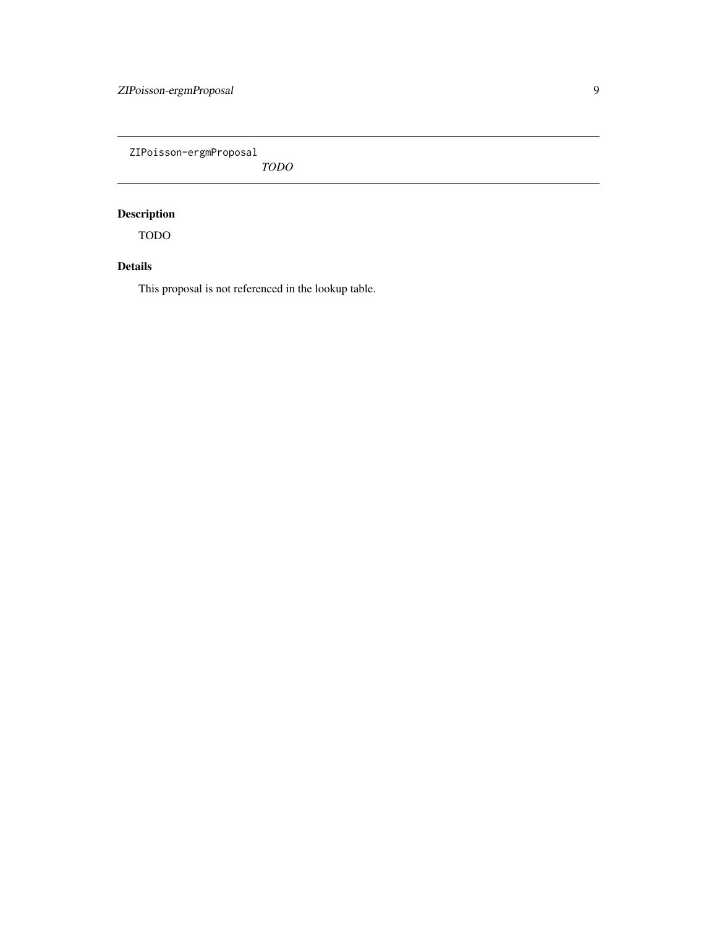<span id="page-8-0"></span>ZIPoisson-ergmProposal

*TODO*

### Description

TODO

### Details

This proposal is not referenced in the lookup table.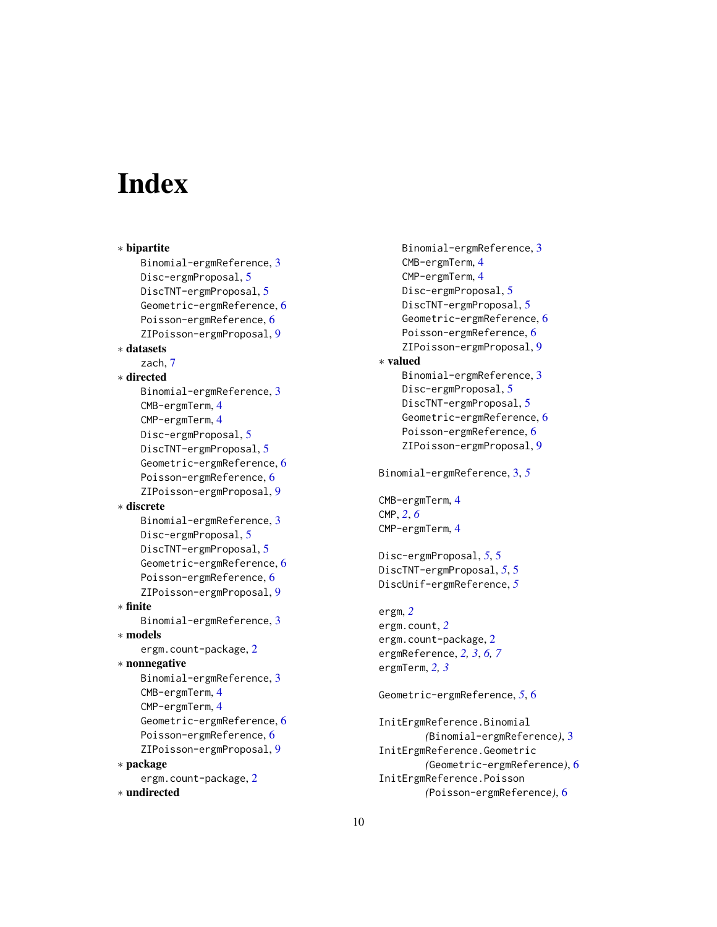# <span id="page-9-0"></span>**Index**

∗ bipartite Binomial-ergmReference, [3](#page-2-0) Disc-ergmProposal, [5](#page-4-0) DiscTNT-ergmProposal, [5](#page-4-0) Geometric-ergmReference, [6](#page-5-0) Poisson-ergmReference, [6](#page-5-0) ZIPoisson-ergmProposal, [9](#page-8-0) ∗ datasets zach, [7](#page-6-0) ∗ directed Binomial-ergmReference, [3](#page-2-0) CMB-ergmTerm, [4](#page-3-0) CMP-ergmTerm, [4](#page-3-0) Disc-ergmProposal, [5](#page-4-0) DiscTNT-ergmProposal, [5](#page-4-0) Geometric-ergmReference, [6](#page-5-0) Poisson-ergmReference, [6](#page-5-0) ZIPoisson-ergmProposal, [9](#page-8-0) ∗ discrete Binomial-ergmReference, [3](#page-2-0) Disc-ergmProposal, [5](#page-4-0) DiscTNT-ergmProposal, [5](#page-4-0) Geometric-ergmReference, [6](#page-5-0) Poisson-ergmReference, [6](#page-5-0) ZIPoisson-ergmProposal, [9](#page-8-0) ∗ finite Binomial-ergmReference, [3](#page-2-0) ∗ models ergm.count-package, [2](#page-1-0) ∗ nonnegative Binomial-ergmReference, [3](#page-2-0) CMB-ergmTerm, [4](#page-3-0) CMP-ergmTerm, [4](#page-3-0) Geometric-ergmReference, [6](#page-5-0) Poisson-ergmReference, [6](#page-5-0) ZIPoisson-ergmProposal, [9](#page-8-0) ∗ package ergm.count-package, [2](#page-1-0) ∗ undirected

Binomial-ergmReference, [3](#page-2-0) CMB-ergmTerm, [4](#page-3-0) CMP-ergmTerm, [4](#page-3-0) Disc-ergmProposal, [5](#page-4-0) DiscTNT-ergmProposal, [5](#page-4-0) Geometric-ergmReference, [6](#page-5-0) Poisson-ergmReference, [6](#page-5-0) ZIPoisson-ergmProposal, [9](#page-8-0) ∗ valued Binomial-ergmReference, [3](#page-2-0) Disc-ergmProposal, [5](#page-4-0) DiscTNT-ergmProposal, [5](#page-4-0) Geometric-ergmReference, [6](#page-5-0) Poisson-ergmReference, [6](#page-5-0) ZIPoisson-ergmProposal, [9](#page-8-0) Binomial-ergmReference, [3,](#page-2-0) *[5](#page-4-0)* CMB-ergmTerm, [4](#page-3-0) CMP, *[2](#page-1-0)*, *[6](#page-5-0)* CMP-ergmTerm, [4](#page-3-0) Disc-ergmProposal, *[5](#page-4-0)*, [5](#page-4-0) DiscTNT-ergmProposal, *[5](#page-4-0)*, [5](#page-4-0) DiscUnif-ergmReference, *[5](#page-4-0)* ergm, *[2](#page-1-0)* ergm.count, *[2](#page-1-0)* ergm.count-package, [2](#page-1-0) ergmReference, *[2,](#page-1-0) [3](#page-2-0)*, *[6,](#page-5-0) [7](#page-6-0)* ergmTerm, *[2,](#page-1-0) [3](#page-2-0)* Geometric-ergmReference, *[5](#page-4-0)*, [6](#page-5-0) InitErgmReference.Binomial *(*Binomial-ergmReference*)*, [3](#page-2-0) InitErgmReference.Geometric *(*Geometric-ergmReference*)*, [6](#page-5-0) InitErgmReference.Poisson

*(*Poisson-ergmReference*)*, [6](#page-5-0)